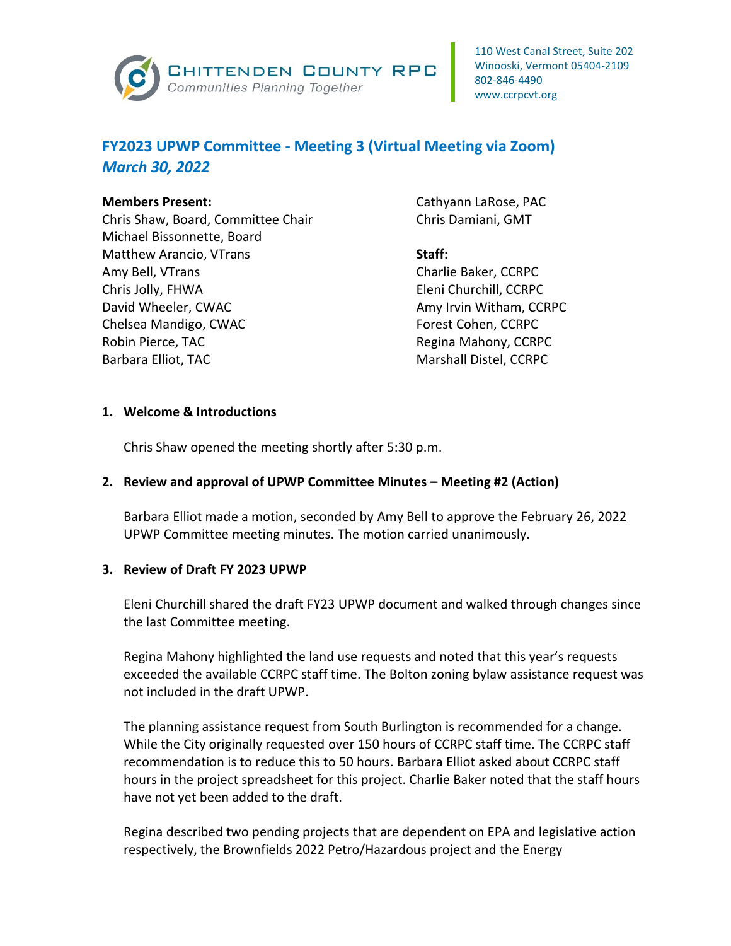

# **FY2023 UPWP Committee - Meeting 3 (Virtual Meeting via Zoom)** *March 30, 2022*

#### **Members Present:**

Chris Shaw, Board, Committee Chair Michael Bissonnette, Board Matthew Arancio, VTrans Amy Bell, VTrans Chris Jolly, FHWA David Wheeler, CWAC Chelsea Mandigo, CWAC Robin Pierce, TAC Barbara Elliot, TAC

Cathyann LaRose, PAC Chris Damiani, GMT

**Staff:**

Charlie Baker, CCRPC Eleni Churchill, CCRPC Amy Irvin Witham, CCRPC Forest Cohen, CCRPC Regina Mahony, CCRPC Marshall Distel, CCRPC

## **1. Welcome & Introductions**

Chris Shaw opened the meeting shortly after 5:30 p.m.

# **2. Review and approval of UPWP Committee Minutes – Meeting #2 (Action)**

Barbara Elliot made a motion, seconded by Amy Bell to approve the February 26, 2022 UPWP Committee meeting minutes. The motion carried unanimously.

# **3. Review of Draft FY 2023 UPWP**

Eleni Churchill shared the draft FY23 UPWP document and walked through changes since the last Committee meeting.

Regina Mahony highlighted the land use requests and noted that this year's requests exceeded the available CCRPC staff time. The Bolton zoning bylaw assistance request was not included in the draft UPWP.

The planning assistance request from South Burlington is recommended for a change. While the City originally requested over 150 hours of CCRPC staff time. The CCRPC staff recommendation is to reduce this to 50 hours. Barbara Elliot asked about CCRPC staff hours in the project spreadsheet for this project. Charlie Baker noted that the staff hours have not yet been added to the draft.

Regina described two pending projects that are dependent on EPA and legislative action respectively, the Brownfields 2022 Petro/Hazardous project and the Energy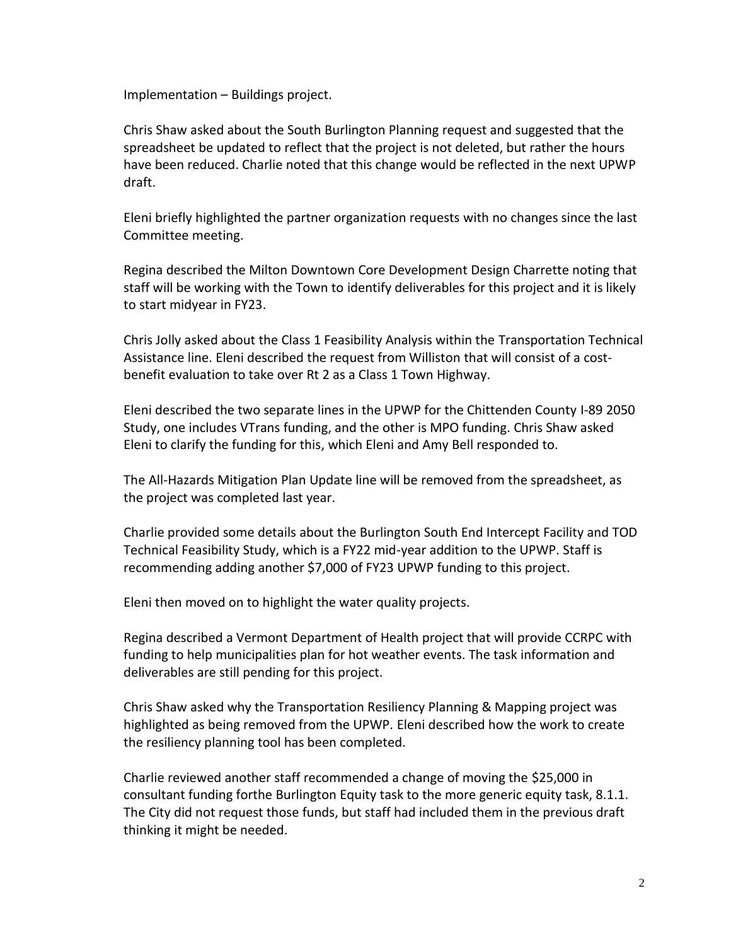Implementation – Buildings project.

Chris Shaw asked about the South Burlington Planning request and suggested that the spreadsheet be updated to reflect that the project is not deleted, but rather the hours have been reduced. Charlie noted that this change would be reflected in the next UPWP draft.

Eleni briefly highlighted the partner organization requests with no changes since the last Committee meeting.

Regina described the Milton Downtown Core Development Design Charrette noting that staff will be working with the Town to identify deliverables for this project and it is likely to start midyear in FY23.

Chris Jolly asked about the Class 1 Feasibility Analysis within the Transportation Technical Assistance line. Eleni described the request from Williston that will consist of a costbenefit evaluation to take over Rt 2 as a Class 1 Town Highway.

Eleni described the two separate lines in the UPWP for the Chittenden County I-89 2050 Study, one includes VTrans funding, and the other is MPO funding. Chris Shaw asked Eleni to clarify the funding for this, which Eleni and Amy Bell responded to.

The All-Hazards Mitigation Plan Update line will be removed from the spreadsheet, as the project was completed last year.

Charlie provided some details about the Burlington South End Intercept Facility and TOD Technical Feasibility Study, which is a FY22 mid-year addition to the UPWP. Staff is recommending adding another \$7,000 of FY23 UPWP funding to this project.

Eleni then moved on to highlight the water quality projects.

Regina described a Vermont Department of Health project that will provide CCRPC with funding to help municipalities plan for hot weather events. The task information and deliverables are still pending for this project.

Chris Shaw asked why the Transportation Resiliency Planning & Mapping project was highlighted as being removed from the UPWP. Eleni described how the work to create the resiliency planning tool has been completed.

Charlie reviewed another staff recommended a change of moving the \$25,000 in consultant funding forthe Burlington Equity task to the more generic equity task, 8.1.1. The City did not request those funds, but staff had included them in the previous draft thinking it might be needed.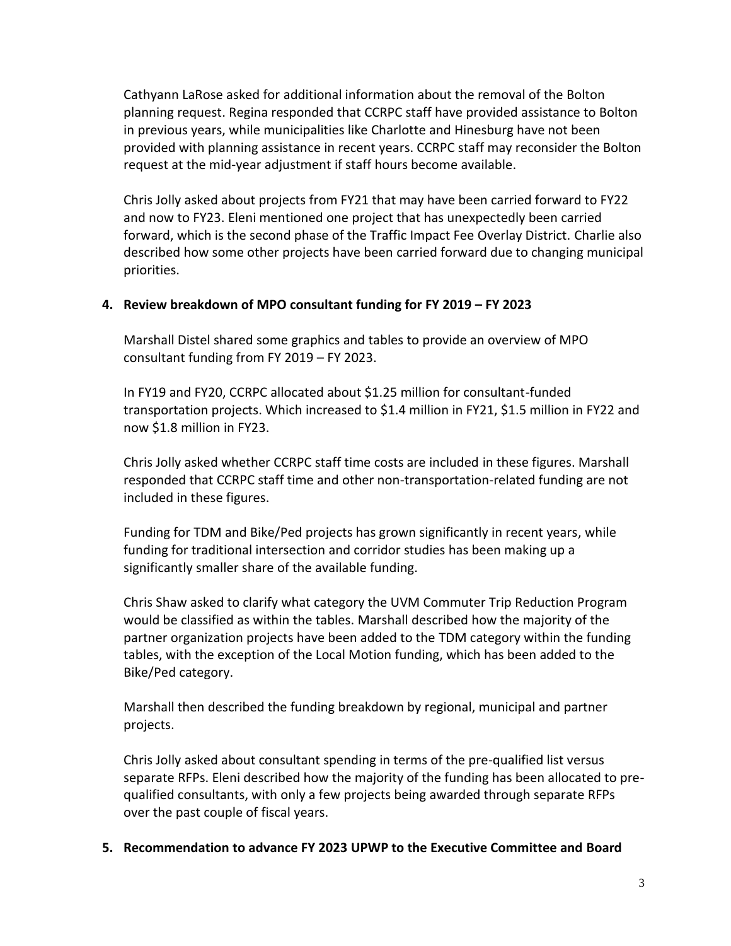Cathyann LaRose asked for additional information about the removal of the Bolton planning request. Regina responded that CCRPC staff have provided assistance to Bolton in previous years, while municipalities like Charlotte and Hinesburg have not been provided with planning assistance in recent years. CCRPC staff may reconsider the Bolton request at the mid-year adjustment if staff hours become available.

Chris Jolly asked about projects from FY21 that may have been carried forward to FY22 and now to FY23. Eleni mentioned one project that has unexpectedly been carried forward, which is the second phase of the Traffic Impact Fee Overlay District. Charlie also described how some other projects have been carried forward due to changing municipal priorities.

## **4. Review breakdown of MPO consultant funding for FY 2019 – FY 2023**

Marshall Distel shared some graphics and tables to provide an overview of MPO consultant funding from FY 2019 – FY 2023.

In FY19 and FY20, CCRPC allocated about \$1.25 million for consultant-funded transportation projects. Which increased to \$1.4 million in FY21, \$1.5 million in FY22 and now \$1.8 million in FY23.

Chris Jolly asked whether CCRPC staff time costs are included in these figures. Marshall responded that CCRPC staff time and other non-transportation-related funding are not included in these figures.

Funding for TDM and Bike/Ped projects has grown significantly in recent years, while funding for traditional intersection and corridor studies has been making up a significantly smaller share of the available funding.

Chris Shaw asked to clarify what category the UVM Commuter Trip Reduction Program would be classified as within the tables. Marshall described how the majority of the partner organization projects have been added to the TDM category within the funding tables, with the exception of the Local Motion funding, which has been added to the Bike/Ped category.

Marshall then described the funding breakdown by regional, municipal and partner projects.

Chris Jolly asked about consultant spending in terms of the pre-qualified list versus separate RFPs. Eleni described how the majority of the funding has been allocated to prequalified consultants, with only a few projects being awarded through separate RFPs over the past couple of fiscal years.

#### **5. Recommendation to advance FY 2023 UPWP to the Executive Committee and Board**